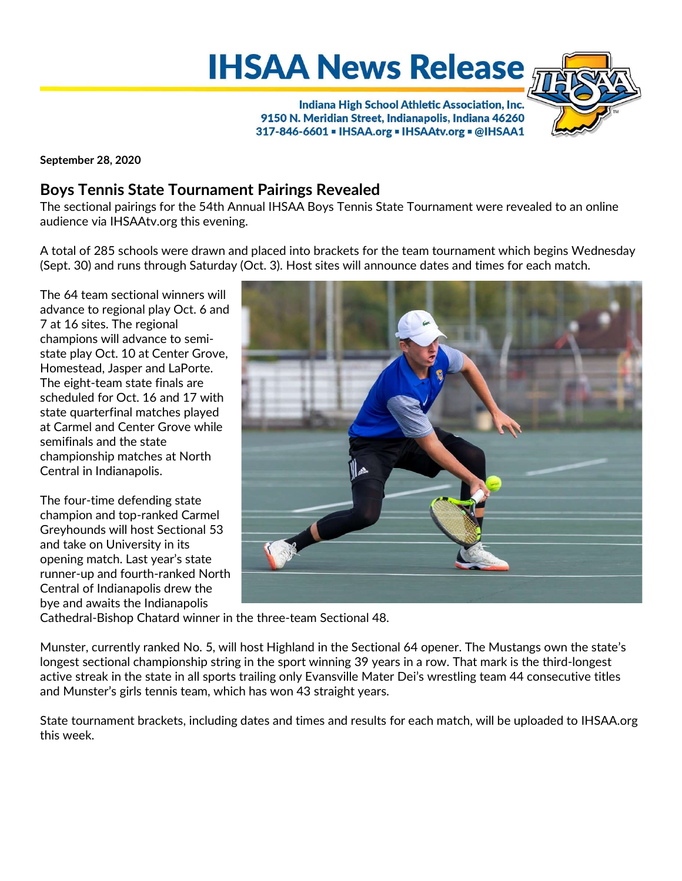**IHSAA News Release** 



Indiana High School Athletic Association, Inc. 9150 N. Meridian Street, Indianapolis, Indiana 46260 317-846-6601 - IHSAA.org - IHSAAtv.org - @IHSAA1

September 28, 2020

# Boys Tennis State Tournament Pairings Revealed

The sectional pairings for the 54th Annual IHSAA Boys Tennis State Tournament were revealed to an online audience via IHSAAtv.org this evening.

A total of 285 schools were drawn and placed into brackets for the team tournament which begins Wednesday (Sept. 30) and runs through Saturday (Oct. 3). Host sites will announce dates and times for each match.

The 64 team sectional winners will advance to regional play Oct. 6 and 7 at 16 sites. The regional champions will advance to semistate play Oct. 10 at Center Grove, Homestead, Jasper and LaPorte. The eight-team state finals are scheduled for Oct. 16 and 17 with state quarterfinal matches played at Carmel and Center Grove while semifinals and the state championship matches at North Central in Indianapolis.

The four-time defending state champion and top-ranked Carmel Greyhounds will host Sectional 53 and take on University in its opening match. Last year's state runner-up and fourth-ranked North Central of Indianapolis drew the bye and awaits the Indianapolis



Cathedral-Bishop Chatard winner in the three-team Sectional 48.

Munster, currently ranked No. 5, will host Highland in the Sectional 64 opener. The Mustangs own the state's longest sectional championship string in the sport winning 39 years in a row. That mark is the third-longest active streak in the state in all sports trailing only Evansville Mater Dei's wrestling team 44 consecutive titles and Munster's girls tennis team, which has won 43 straight years.

State tournament brackets, including dates and times and results for each match, will be uploaded to IHSAA.org this week.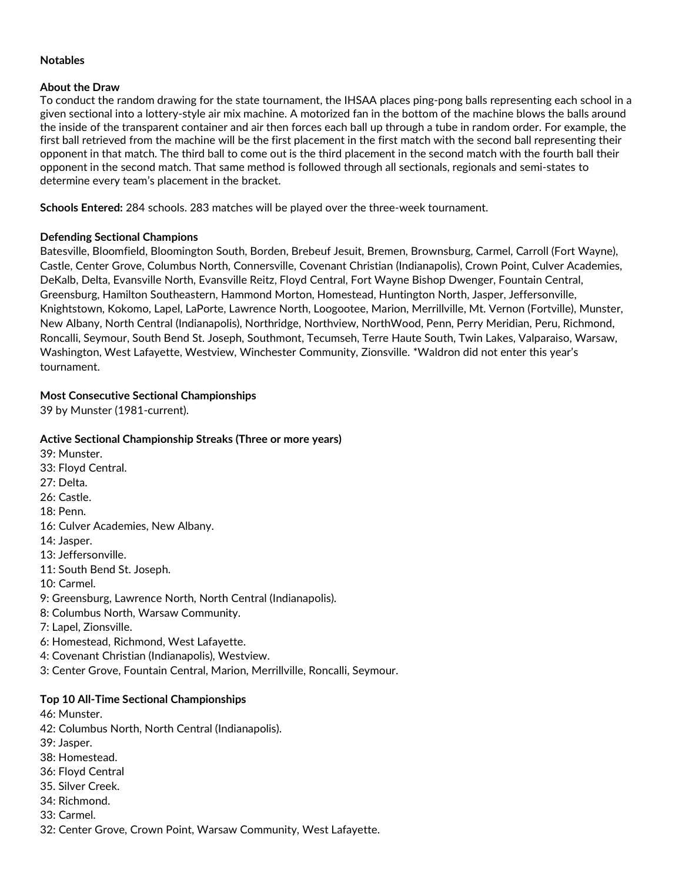#### Notables

# About the Draw

To conduct the random drawing for the state tournament, the IHSAA places ping-pong balls representing each school in a given sectional into a lottery-style air mix machine. A motorized fan in the bottom of the machine blows the balls around the inside of the transparent container and air then forces each ball up through a tube in random order. For example, the first ball retrieved from the machine will be the first placement in the first match with the second ball representing their opponent in that match. The third ball to come out is the third placement in the second match with the fourth ball their opponent in the second match. That same method is followed through all sectionals, regionals and semi-states to determine every team's placement in the bracket.

Schools Entered: 284 schools. 283 matches will be played over the three-week tournament.

# Defending Sectional Champions

Batesville, Bloomfield, Bloomington South, Borden, Brebeuf Jesuit, Bremen, Brownsburg, Carmel, Carroll (Fort Wayne), Castle, Center Grove, Columbus North, Connersville, Covenant Christian (Indianapolis), Crown Point, Culver Academies, DeKalb, Delta, Evansville North, Evansville Reitz, Floyd Central, Fort Wayne Bishop Dwenger, Fountain Central, Greensburg, Hamilton Southeastern, Hammond Morton, Homestead, Huntington North, Jasper, Jeffersonville, Knightstown, Kokomo, Lapel, LaPorte, Lawrence North, Loogootee, Marion, Merrillville, Mt. Vernon (Fortville), Munster, New Albany, North Central (Indianapolis), Northridge, Northview, NorthWood, Penn, Perry Meridian, Peru, Richmond, Roncalli, Seymour, South Bend St. Joseph, Southmont, Tecumseh, Terre Haute South, Twin Lakes, Valparaiso, Warsaw, Washington, West Lafayette, Westview, Winchester Community, Zionsville. \*Waldron did not enter this year's tournament.

# Most Consecutive Sectional Championships

39 by Munster (1981-current).

# Active Sectional Championship Streaks (Three or more years)

39: Munster. 33: Floyd Central. 27: Delta. 26: Castle. 18: Penn. 16: Culver Academies, New Albany. 14: Jasper. 13: Jeffersonville. 11: South Bend St. Joseph. 10: Carmel. 9: Greensburg, Lawrence North, North Central (Indianapolis). 8: Columbus North, Warsaw Community. 7: Lapel, Zionsville. 6: Homestead, Richmond, West Lafayette. 4: Covenant Christian (Indianapolis), Westview. 3: Center Grove, Fountain Central, Marion, Merrillville, Roncalli, Seymour.

# Top 10 All-Time Sectional Championships

46: Munster.

- 42: Columbus North, North Central (Indianapolis).
- 39: Jasper.
- 38: Homestead.
- 36: Floyd Central
- 35. Silver Creek.
- 34: Richmond.
- 33: Carmel.
- 32: Center Grove, Crown Point, Warsaw Community, West Lafayette.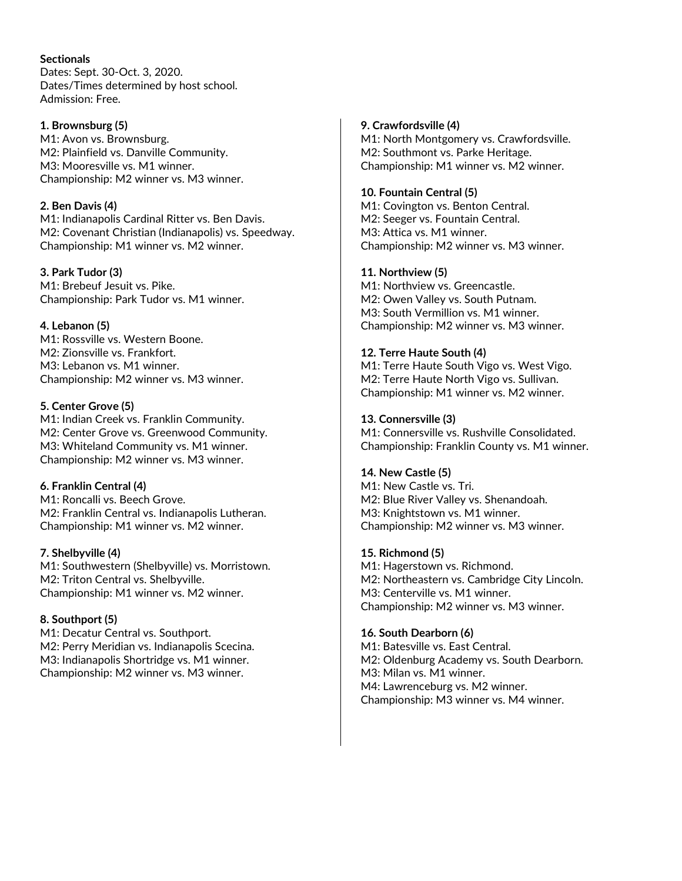#### **Sectionals**

Dates: Sept. 30-Oct. 3, 2020. Dates/Times determined by host school. Admission: Free.

#### 1. Brownsburg (5)

M1: Avon vs. Brownsburg. M2: Plainfield vs. Danville Community. M3: Mooresville vs. M1 winner. Championship: M2 winner vs. M3 winner.

# 2. Ben Davis (4)

M1: Indianapolis Cardinal Ritter vs. Ben Davis. M2: Covenant Christian (Indianapolis) vs. Speedway. Championship: M1 winner vs. M2 winner.

# 3. Park Tudor (3)

M1: Brebeuf Jesuit vs. Pike. Championship: Park Tudor vs. M1 winner.

# 4. Lebanon (5)

M1: Rossville vs. Western Boone. M2: Zionsville vs. Frankfort. M3: Lebanon vs. M1 winner. Championship: M2 winner vs. M3 winner.

# 5. Center Grove (5)

M1: Indian Creek vs. Franklin Community. M2: Center Grove vs. Greenwood Community. M3: Whiteland Community vs. M1 winner. Championship: M2 winner vs. M3 winner.

# 6. Franklin Central (4)

M1: Roncalli vs. Beech Grove. M2: Franklin Central vs. Indianapolis Lutheran. Championship: M1 winner vs. M2 winner.

### 7. Shelbyville (4)

M1: Southwestern (Shelbyville) vs. Morristown. M2: Triton Central vs. Shelbyville. Championship: M1 winner vs. M2 winner.

# 8. Southport (5)

M1: Decatur Central vs. Southport. M2: Perry Meridian vs. Indianapolis Scecina. M3: Indianapolis Shortridge vs. M1 winner. Championship: M2 winner vs. M3 winner.

# 9. Crawfordsville (4)

M1: North Montgomery vs. Crawfordsville. M2: Southmont vs. Parke Heritage. Championship: M1 winner vs. M2 winner.

# 10. Fountain Central (5)

M1: Covington vs. Benton Central. M2: Seeger vs. Fountain Central. M3: Attica vs. M1 winner. Championship: M2 winner vs. M3 winner.

# 11. Northview (5)

M1: Northview vs. Greencastle. M2: Owen Valley vs. South Putnam. M3: South Vermillion vs. M1 winner. Championship: M2 winner vs. M3 winner.

# 12. Terre Haute South (4)

M1: Terre Haute South Vigo vs. West Vigo. M2: Terre Haute North Vigo vs. Sullivan. Championship: M1 winner vs. M2 winner.

# 13. Connersville (3)

M1: Connersville vs. Rushville Consolidated. Championship: Franklin County vs. M1 winner.

### 14. New Castle (5)

M1: New Castle vs. Tri. M2: Blue River Valley vs. Shenandoah. M3: Knightstown vs. M1 winner. Championship: M2 winner vs. M3 winner.

### 15. Richmond (5)

M1: Hagerstown vs. Richmond. M2: Northeastern vs. Cambridge City Lincoln. M3: Centerville vs. M1 winner. Championship: M2 winner vs. M3 winner.

### 16. South Dearborn (6)

M1: Batesville vs. East Central. M2: Oldenburg Academy vs. South Dearborn. M3: Milan vs. M1 winner. M4: Lawrenceburg vs. M2 winner. Championship: M3 winner vs. M4 winner.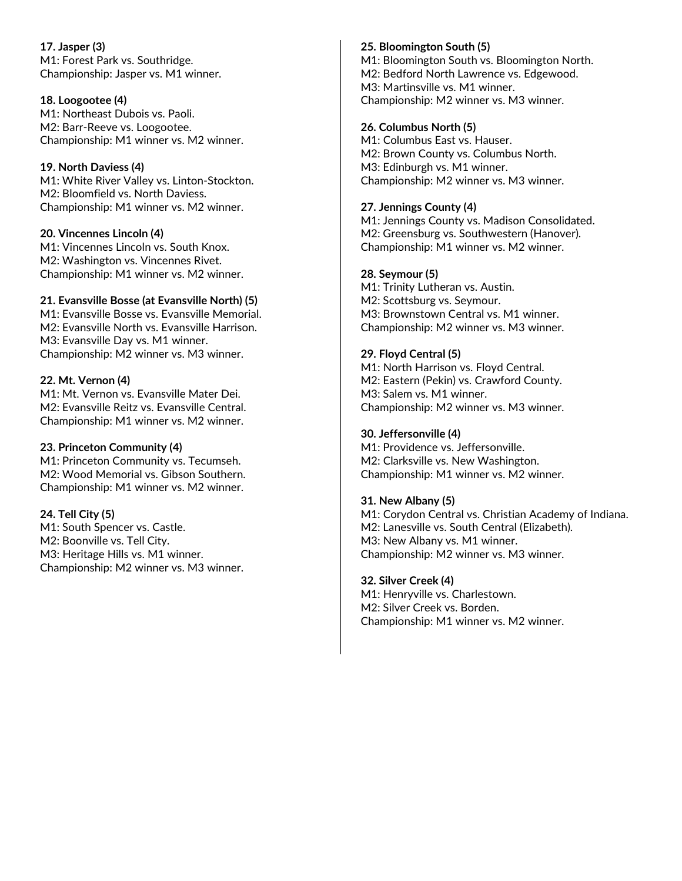17. Jasper (3) M1: Forest Park vs. Southridge. Championship: Jasper vs. M1 winner.

#### 18. Loogootee (4)

M1: Northeast Dubois vs. Paoli. M2: Barr-Reeve vs. Loogootee. Championship: M1 winner vs. M2 winner.

### 19. North Daviess (4)

M1: White River Valley vs. Linton-Stockton. M2: Bloomfield vs. North Daviess. Championship: M1 winner vs. M2 winner.

### 20. Vincennes Lincoln (4)

M1: Vincennes Lincoln vs. South Knox. M2: Washington vs. Vincennes Rivet. Championship: M1 winner vs. M2 winner.

#### 21. Evansville Bosse (at Evansville North) (5)

M1: Evansville Bosse vs. Evansville Memorial. M2: Evansville North vs. Evansville Harrison. M3: Evansville Day vs. M1 winner. Championship: M2 winner vs. M3 winner.

#### 22. Mt. Vernon (4)

M1: Mt. Vernon vs. Evansville Mater Dei. M2: Evansville Reitz vs. Evansville Central. Championship: M1 winner vs. M2 winner.

### 23. Princeton Community (4)

M1: Princeton Community vs. Tecumseh. M2: Wood Memorial vs. Gibson Southern. Championship: M1 winner vs. M2 winner.

### 24. Tell City (5)

M1: South Spencer vs. Castle. M2: Boonville vs. Tell City. M3: Heritage Hills vs. M1 winner. Championship: M2 winner vs. M3 winner.

### 25. Bloomington South (5)

M1: Bloomington South vs. Bloomington North. M2: Bedford North Lawrence vs. Edgewood. M3: Martinsville vs. M1 winner. Championship: M2 winner vs. M3 winner.

#### 26. Columbus North (5)

M1: Columbus East vs. Hauser. M2: Brown County vs. Columbus North. M3: Edinburgh vs. M1 winner. Championship: M2 winner vs. M3 winner.

#### 27. Jennings County (4)

M1: Jennings County vs. Madison Consolidated. M2: Greensburg vs. Southwestern (Hanover). Championship: M1 winner vs. M2 winner.

#### 28. Seymour (5)

M1: Trinity Lutheran vs. Austin. M2: Scottsburg vs. Seymour. M3: Brownstown Central vs. M1 winner. Championship: M2 winner vs. M3 winner.

### 29. Floyd Central (5)

M1: North Harrison vs. Floyd Central. M2: Eastern (Pekin) vs. Crawford County. M3: Salem vs. M1 winner. Championship: M2 winner vs. M3 winner.

#### 30. Jeffersonville (4)

M1: Providence vs. Jeffersonville. M2: Clarksville vs. New Washington. Championship: M1 winner vs. M2 winner.

### 31. New Albany (5)

M1: Corydon Central vs. Christian Academy of Indiana. M2: Lanesville vs. South Central (Elizabeth). M3: New Albany vs. M1 winner. Championship: M2 winner vs. M3 winner.

#### 32. Silver Creek (4)

M1: Henryville vs. Charlestown. M2: Silver Creek vs. Borden. Championship: M1 winner vs. M2 winner.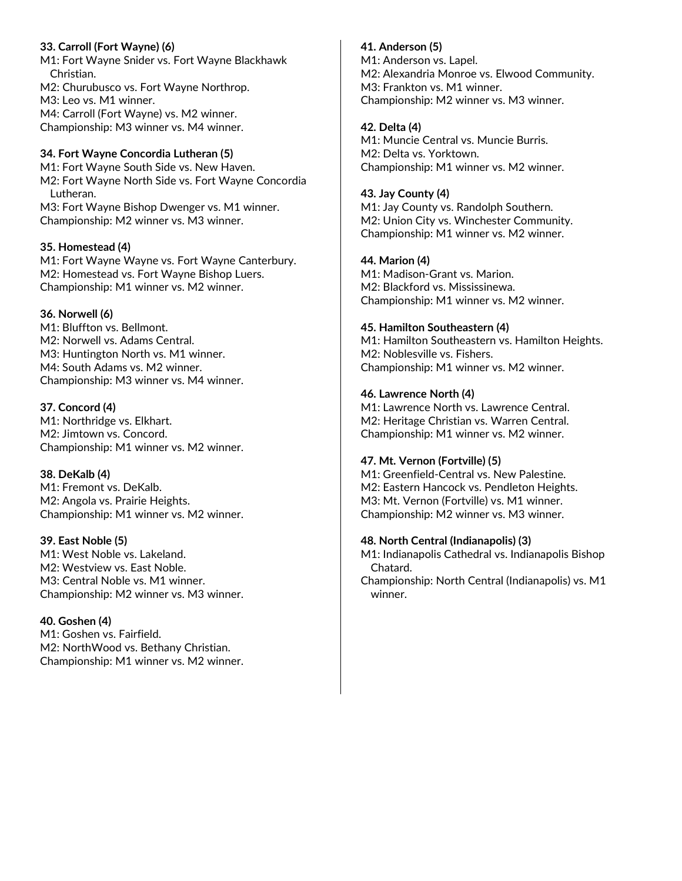# 33. Carroll (Fort Wayne) (6)

M1: Fort Wayne Snider vs. Fort Wayne Blackhawk Christian.

M2: Churubusco vs. Fort Wayne Northrop. M3: Leo vs. M1 winner. M4: Carroll (Fort Wayne) vs. M2 winner. Championship: M3 winner vs. M4 winner.

# 34. Fort Wayne Concordia Lutheran (5)

M1: Fort Wayne South Side vs. New Haven. M2: Fort Wayne North Side vs. Fort Wayne Concordia Lutheran. M3: Fort Wayne Bishop Dwenger vs. M1 winner.

Championship: M2 winner vs. M3 winner.

#### 35. Homestead (4)

M1: Fort Wayne Wayne vs. Fort Wayne Canterbury. M2: Homestead vs. Fort Wayne Bishop Luers. Championship: M1 winner vs. M2 winner.

### 36. Norwell (6)

M1: Bluffton vs. Bellmont. M2: Norwell vs. Adams Central. M3: Huntington North vs. M1 winner. M4: South Adams vs. M2 winner. Championship: M3 winner vs. M4 winner.

### 37. Concord (4)

M1: Northridge vs. Elkhart. M2: Jimtown vs. Concord. Championship: M1 winner vs. M2 winner.

### 38. DeKalb (4)

M1: Fremont vs. DeKalb. M2: Angola vs. Prairie Heights. Championship: M1 winner vs. M2 winner.

### 39. East Noble (5)

M1: West Noble vs. Lakeland. M2: Westview vs. East Noble. M3: Central Noble vs. M1 winner. Championship: M2 winner vs. M3 winner.

### 40. Goshen (4)

M1: Goshen vs. Fairfield. M2: NorthWood vs. Bethany Christian. Championship: M1 winner vs. M2 winner.

# 41. Anderson (5)

M1: Anderson vs. Lapel. M2: Alexandria Monroe vs. Elwood Community. M3: Frankton vs. M1 winner. Championship: M2 winner vs. M3 winner.

# 42. Delta (4)

M1: Muncie Central vs. Muncie Burris. M2: Delta vs. Yorktown. Championship: M1 winner vs. M2 winner.

#### 43. Jay County (4)

M1: Jay County vs. Randolph Southern. M2: Union City vs. Winchester Community. Championship: M1 winner vs. M2 winner.

### 44. Marion (4)

M1: Madison-Grant vs. Marion. M2: Blackford vs. Mississinewa. Championship: M1 winner vs. M2 winner.

### 45. Hamilton Southeastern (4)

M1: Hamilton Southeastern vs. Hamilton Heights. M2: Noblesville vs. Fishers. Championship: M1 winner vs. M2 winner.

### 46. Lawrence North (4)

M1: Lawrence North vs. Lawrence Central. M2: Heritage Christian vs. Warren Central. Championship: M1 winner vs. M2 winner.

### 47. Mt. Vernon (Fortville) (5)

M1: Greenfield-Central vs. New Palestine. M2: Eastern Hancock vs. Pendleton Heights. M3: Mt. Vernon (Fortville) vs. M1 winner. Championship: M2 winner vs. M3 winner.

### 48. North Central (Indianapolis) (3)

M1: Indianapolis Cathedral vs. Indianapolis Bishop Chatard.

Championship: North Central (Indianapolis) vs. M1 winner.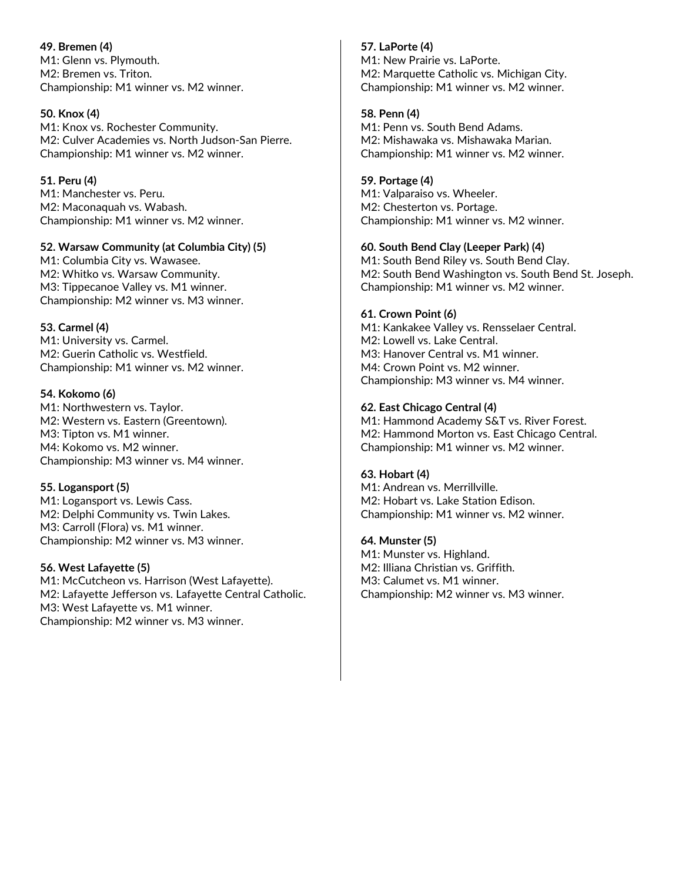49. Bremen (4) M1: Glenn vs. Plymouth. M2: Bremen vs. Triton. Championship: M1 winner vs. M2 winner.

#### 50. Knox (4)

M1: Knox vs. Rochester Community. M2: Culver Academies vs. North Judson-San Pierre. Championship: M1 winner vs. M2 winner.

#### 51. Peru (4)

M1: Manchester vs. Peru. M2: Maconaquah vs. Wabash. Championship: M1 winner vs. M2 winner.

#### 52. Warsaw Community (at Columbia City) (5)

M1: Columbia City vs. Wawasee. M2: Whitko vs. Warsaw Community. M3: Tippecanoe Valley vs. M1 winner. Championship: M2 winner vs. M3 winner.

### 53. Carmel (4)

M1: University vs. Carmel. M2: Guerin Catholic vs. Westfield. Championship: M1 winner vs. M2 winner.

#### 54. Kokomo (6)

M1: Northwestern vs. Taylor. M2: Western vs. Eastern (Greentown). M3: Tipton vs. M1 winner. M4: Kokomo vs. M2 winner. Championship: M3 winner vs. M4 winner.

### 55. Logansport (5)

M1: Logansport vs. Lewis Cass. M2: Delphi Community vs. Twin Lakes. M3: Carroll (Flora) vs. M1 winner. Championship: M2 winner vs. M3 winner.

### 56. West Lafayette (5)

M1: McCutcheon vs. Harrison (West Lafayette). M2: Lafayette Jefferson vs. Lafayette Central Catholic. M3: West Lafayette vs. M1 winner. Championship: M2 winner vs. M3 winner.

#### 57. LaPorte (4)

M1: New Prairie vs. LaPorte. M2: Marquette Catholic vs. Michigan City. Championship: M1 winner vs. M2 winner.

#### 58. Penn (4)

M1: Penn vs. South Bend Adams. M2: Mishawaka vs. Mishawaka Marian. Championship: M1 winner vs. M2 winner.

#### 59. Portage (4)

M1: Valparaiso vs. Wheeler. M2: Chesterton vs. Portage. Championship: M1 winner vs. M2 winner.

#### 60. South Bend Clay (Leeper Park) (4)

M1: South Bend Riley vs. South Bend Clay. M2: South Bend Washington vs. South Bend St. Joseph. Championship: M1 winner vs. M2 winner.

#### 61. Crown Point (6)

M1: Kankakee Valley vs. Rensselaer Central. M2: Lowell vs. Lake Central. M3: Hanover Central vs. M1 winner. M4: Crown Point vs. M2 winner. Championship: M3 winner vs. M4 winner.

#### 62. East Chicago Central (4)

M1: Hammond Academy S&T vs. River Forest. M2: Hammond Morton vs. East Chicago Central. Championship: M1 winner vs. M2 winner.

### 63. Hobart (4)

M1: Andrean vs. Merrillville. M2: Hobart vs. Lake Station Edison. Championship: M1 winner vs. M2 winner.

#### 64. Munster (5)

M1: Munster vs. Highland. M2: Illiana Christian vs. Griffith. M3: Calumet vs. M1 winner. Championship: M2 winner vs. M3 winner.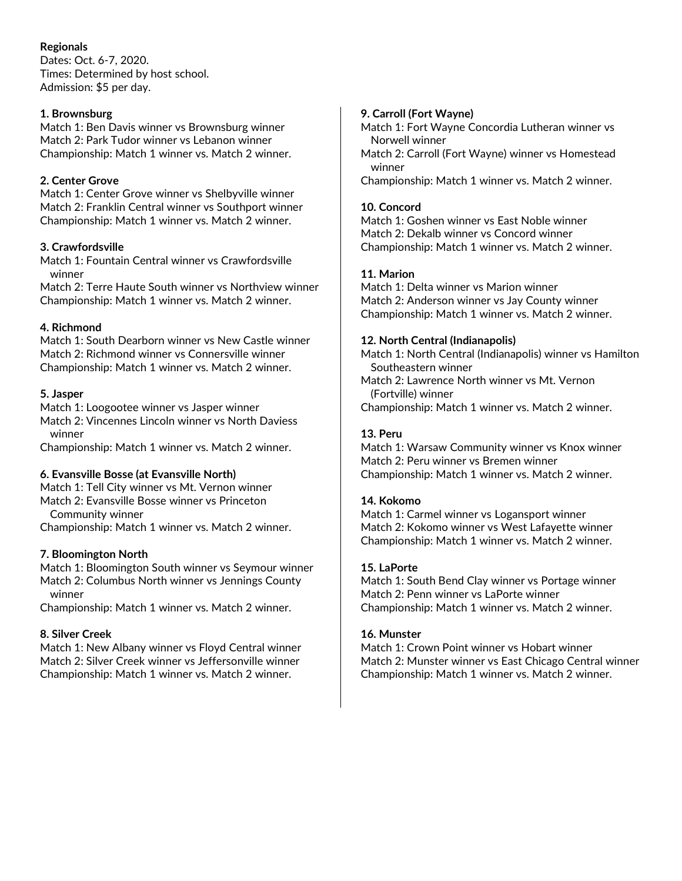# Regionals

Dates: Oct. 6-7, 2020. Times: Determined by host school. Admission: \$5 per day.

### 1. Brownsburg

Match 1: Ben Davis winner vs Brownsburg winner Match 2: Park Tudor winner vs Lebanon winner Championship: Match 1 winner vs. Match 2 winner.

### 2. Center Grove

Match 1: Center Grove winner vs Shelbyville winner Match 2: Franklin Central winner vs Southport winner Championship: Match 1 winner vs. Match 2 winner.

### 3. Crawfordsville

Match 1: Fountain Central winner vs Crawfordsville winner

Match 2: Terre Haute South winner vs Northview winner Championship: Match 1 winner vs. Match 2 winner.

### 4. Richmond

Match 1: South Dearborn winner vs New Castle winner Match 2: Richmond winner vs Connersville winner Championship: Match 1 winner vs. Match 2 winner.

### 5. Jasper

Match 1: Loogootee winner vs Jasper winner Match 2: Vincennes Lincoln winner vs North Daviess winner

Championship: Match 1 winner vs. Match 2 winner.

### 6. Evansville Bosse (at Evansville North)

Match 1: Tell City winner vs Mt. Vernon winner Match 2: Evansville Bosse winner vs Princeton

Community winner

Championship: Match 1 winner vs. Match 2 winner.

### 7. Bloomington North

Match 1: Bloomington South winner vs Seymour winner Match 2: Columbus North winner vs Jennings County winner

Championship: Match 1 winner vs. Match 2 winner.

### 8. Silver Creek

Match 1: New Albany winner vs Floyd Central winner Match 2: Silver Creek winner vs Jeffersonville winner Championship: Match 1 winner vs. Match 2 winner.

### 9. Carroll (Fort Wayne)

Match 1: Fort Wayne Concordia Lutheran winner vs Norwell winner

Match 2: Carroll (Fort Wayne) winner vs Homestead winner

Championship: Match 1 winner vs. Match 2 winner.

#### 10. Concord

Match 1: Goshen winner vs East Noble winner Match 2: Dekalb winner vs Concord winner Championship: Match 1 winner vs. Match 2 winner.

### 11. Marion

Match 1: Delta winner vs Marion winner Match 2: Anderson winner vs Jay County winner Championship: Match 1 winner vs. Match 2 winner.

#### 12. North Central (Indianapolis)

Match 1: North Central (Indianapolis) winner vs Hamilton Southeastern winner

- Match 2: Lawrence North winner vs Mt. Vernon (Fortville) winner
- Championship: Match 1 winner vs. Match 2 winner.

# 13. Peru

Match 1: Warsaw Community winner vs Knox winner Match 2: Peru winner vs Bremen winner Championship: Match 1 winner vs. Match 2 winner.

### 14. Kokomo

Match 1: Carmel winner vs Logansport winner Match 2: Kokomo winner vs West Lafayette winner Championship: Match 1 winner vs. Match 2 winner.

#### 15. LaPorte

Match 1: South Bend Clay winner vs Portage winner Match 2: Penn winner vs LaPorte winner Championship: Match 1 winner vs. Match 2 winner.

### 16. Munster

Match 1: Crown Point winner vs Hobart winner Match 2: Munster winner vs East Chicago Central winner Championship: Match 1 winner vs. Match 2 winner.